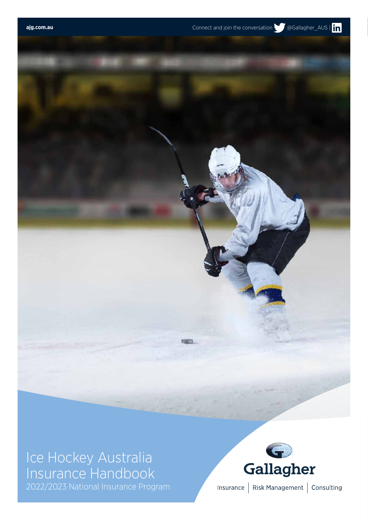# Ice Hockey Australia Insurance Handbook

2022/2023 National Insurance Program



Insurance | Risk Management | Consulting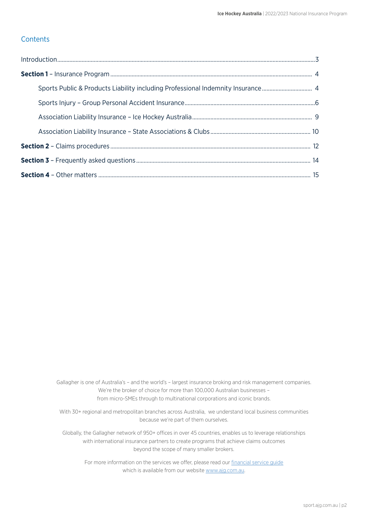#### **Contents**

| Sports Public & Products Liability including Professional Indemnity Insurance 4 |  |
|---------------------------------------------------------------------------------|--|
|                                                                                 |  |
|                                                                                 |  |
|                                                                                 |  |
|                                                                                 |  |
|                                                                                 |  |
|                                                                                 |  |

Gallagher is one of Australia's – and the world's – largest insurance broking and risk management companies. We're the broker of choice for more than 100,000 Australian businesses – from micro-SMEs through to multinational corporations and iconic brands.

With 30+ regional and metropolitan branches across Australia, we understand local business communities because we're part of them ourselves.

Globally, the Gallagher network of 950+ offices in over 45 countries, enables us to leverage relationships with international insurance partners to create programs that achieve claims outcomes beyond the scope of many smaller brokers.

For more information on the services we offer, please read our [financial service guide](https://arthurjgallagher.s3.amazonaws.com/editor/documents/gallagher_fsg.pdf) which is available from our website [www.ajg.com.au](http://www.ajg.com.au).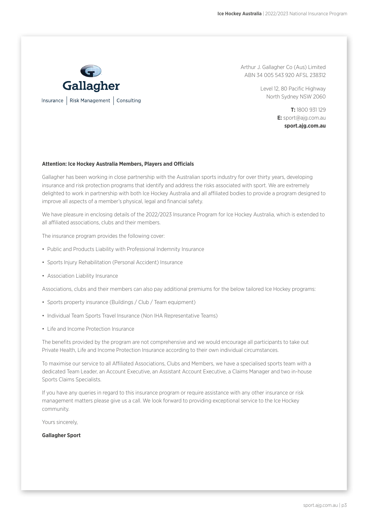

Arthur J. Gallagher Co (Aus) Limited ABN 34 005 543 920 AFSL 238312

> Level 12, 80 Pacific Highway North Sydney NSW 2060

> > **T:** 1800 931 129 **E:** sport@ajg.com.au **sport.ajg.com.au**

#### **Attention: Ice Hockey Australia Members, Players and Officials**

Gallagher has been working in close partnership with the Australian sports industry for over thirty years, developing insurance and risk protection programs that identify and address the risks associated with sport. We are extremely delighted to work in partnership with both Ice Hockey Australia and all affiliated bodies to provide a program designed to improve all aspects of a member's physical, legal and financial safety.

We have pleasure in enclosing details of the 2022/2023 Insurance Program for Ice Hockey Australia, which is extended to all affiliated associations, clubs and their members.

The insurance program provides the following cover:

- Public and Products Liability with Professional Indemnity Insurance
- Sports Injury Rehabilitation (Personal Accident) Insurance
- Association Liability Insurance

Associations, clubs and their members can also pay additional premiums for the below tailored Ice Hockey programs:

- Sports property insurance (Buildings / Club / Team equipment)
- Individual Team Sports Travel Insurance (Non IHA Representative Teams)
- Life and Income Protection Insurance

The benefits provided by the program are not comprehensive and we would encourage all participants to take out Private Health, Life and Income Protection Insurance according to their own individual circumstances.

To maximise our service to all Affiliated Associations, Clubs and Members, we have a specialised sports team with a dedicated Team Leader, an Account Executive, an Assistant Account Executive, a Claims Manager and two in-house Sports Claims Specialists.

If you have any queries in regard to this insurance program or require assistance with any other insurance or risk management matters please give us a call. We look forward to providing exceptional service to the Ice Hockey community.

Yours sincerely,

#### **Gallagher Sport**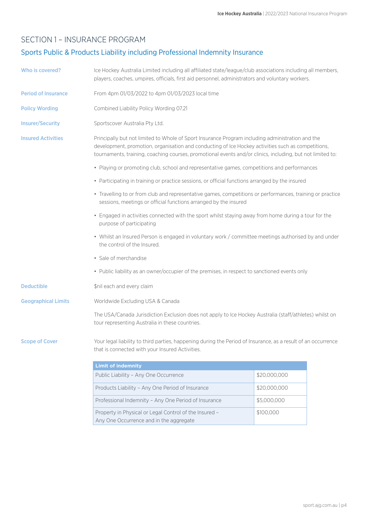### SECTION 1 – INSURANCE PROGRAM

# Sports Public & Products Liability including Professional Indemnity Insurance

| Who is covered?            | Ice Hockey Australia Limited including all affiliated state/league/club associations including all members,<br>players, coaches, umpires, officials, first aid personnel, administrators and voluntary workers.                                                                                                      |              |  |  |
|----------------------------|----------------------------------------------------------------------------------------------------------------------------------------------------------------------------------------------------------------------------------------------------------------------------------------------------------------------|--------------|--|--|
| <b>Period of Insurance</b> | From 4pm 01/03/2022 to 4pm 01/03/2023 local time                                                                                                                                                                                                                                                                     |              |  |  |
| <b>Policy Wording</b>      | Combined Liability Policy Wording 07.21                                                                                                                                                                                                                                                                              |              |  |  |
| <b>Insurer/Security</b>    | Sportscover Australia Pty Ltd.                                                                                                                                                                                                                                                                                       |              |  |  |
| <b>Insured Activities</b>  | Principally but not limited to Whole of Sport Insurance Program including administration and the<br>development, promotion, organisation and conducting of Ice Hockey activities such as competitions,<br>tournaments, training, coaching courses, promotional events and/or clinics, including, but not limited to: |              |  |  |
|                            | • Playing or promoting club, school and representative games, competitions and performances                                                                                                                                                                                                                          |              |  |  |
|                            | • Participating in training or practice sessions, or official functions arranged by the insured                                                                                                                                                                                                                      |              |  |  |
|                            | • Travelling to or from club and representative games, competitions or performances, training or practice<br>sessions, meetings or official functions arranged by the insured                                                                                                                                        |              |  |  |
|                            | • Engaged in activities connected with the sport whilst staying away from home during a tour for the<br>purpose of participating                                                                                                                                                                                     |              |  |  |
|                            | • Whilst an Insured Person is engaged in voluntary work / committee meetings authorised by and under<br>the control of the Insured.                                                                                                                                                                                  |              |  |  |
|                            | • Sale of merchandise                                                                                                                                                                                                                                                                                                |              |  |  |
|                            | • Public liability as an owner/occupier of the premises, in respect to sanctioned events only                                                                                                                                                                                                                        |              |  |  |
| <b>Deductible</b>          | \$nil each and every claim                                                                                                                                                                                                                                                                                           |              |  |  |
| <b>Geographical Limits</b> | Worldwide Excluding USA & Canada                                                                                                                                                                                                                                                                                     |              |  |  |
|                            | The USA/Canada Jurisdiction Exclusion does not apply to Ice Hockey Australia (staff/athletes) whilst on<br>tour representing Australia in these countries.                                                                                                                                                           |              |  |  |
| <b>Scope of Cover</b>      | Your legal liability to third parties, happening during the Period of Insurance, as a result of an occurrence<br>that is connected with your Insured Activities.                                                                                                                                                     |              |  |  |
|                            | <b>Limit of indemnity</b>                                                                                                                                                                                                                                                                                            |              |  |  |
|                            | Public Liability - Any One Occurrence                                                                                                                                                                                                                                                                                | \$20,000,000 |  |  |
|                            | Products Liability - Any One Period of Insurance                                                                                                                                                                                                                                                                     | \$20,000,000 |  |  |
|                            | Professional Indemnity - Any One Period of Insurance                                                                                                                                                                                                                                                                 | \$5,000,000  |  |  |
|                            | Property in Physical or Legal Control of the Insured -                                                                                                                                                                                                                                                               | \$100,000    |  |  |

Any One Occurrence and in the aggregate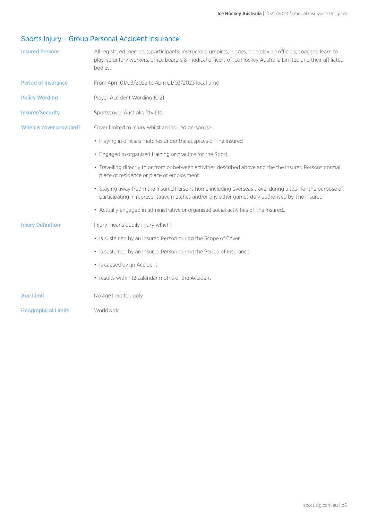# Sports Injury – Group Personal Accident Insurance

| <b>Insured Persons</b>     | All registered members, participants, instructors, umpires, judges, non-playing officials, coaches, learn to<br>play, voluntary workers, office bearers & medical officers of Ice Hockey Australia Limited and their affiliated<br>bodies. |
|----------------------------|--------------------------------------------------------------------------------------------------------------------------------------------------------------------------------------------------------------------------------------------|
| <b>Period of Insurance</b> | From 4pm 01/03/2022 to 4pm 01/03/2023 local time                                                                                                                                                                                           |
| <b>Policy Wording</b>      | Player Accident Wording 10.21                                                                                                                                                                                                              |
| <b>Insurer/Security</b>    | Sportscover Australia Pty Ltd.                                                                                                                                                                                                             |
| When is cover provided?    | Cover limited to injury whilst an insured person is:-                                                                                                                                                                                      |
|                            | • Playing in officials matches under the auspices of The Insured                                                                                                                                                                           |
|                            | • Engaged in organised training or practice for the Sport.                                                                                                                                                                                 |
|                            | • Travelling directly to or from or between activities described above and the the Insured Persons normal<br>place of residence or place of employment.                                                                                    |
|                            | • Staying away fro9m the Insured Persons home including overseas travel during a tour for the purpose of<br>participating in representative matches and/or any other games duly authorised by The Insured.                                 |
|                            | • Actually engaged in administrative or organised social activities of The Insured                                                                                                                                                         |
| <b>Injury Definition</b>   | Injury means bodily injury which:                                                                                                                                                                                                          |
|                            | • Is sustained by an Insured Person during the Scope of Cover                                                                                                                                                                              |
|                            | • Is sustained by an Insured Person during the Period of Insurance                                                                                                                                                                         |
|                            | • Is caused by an Accident                                                                                                                                                                                                                 |
|                            | • results within 12 calendar moths of the Accident                                                                                                                                                                                         |
| <b>Age Limit</b>           | No age limit to apply                                                                                                                                                                                                                      |
| <b>Geographical Limits</b> | Worldwide                                                                                                                                                                                                                                  |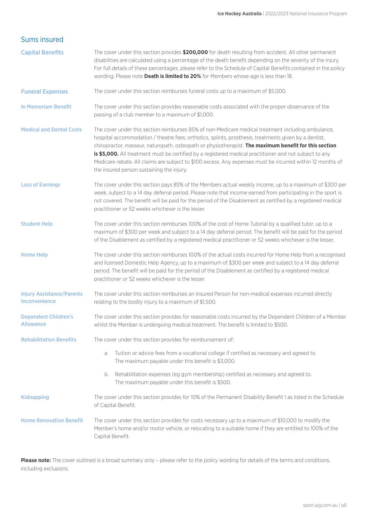| <b>Sums insured</b>                               |                                                                                                                                                                                                                                                                                                                                                                                                                                                                                                                                                                                            |
|---------------------------------------------------|--------------------------------------------------------------------------------------------------------------------------------------------------------------------------------------------------------------------------------------------------------------------------------------------------------------------------------------------------------------------------------------------------------------------------------------------------------------------------------------------------------------------------------------------------------------------------------------------|
| <b>Capital Benefits</b>                           | The cover under this section provides \$200,000 for death resulting from accident. All other permanent<br>disabilities are calculated using a percentage of the death benefit depending on the severity of the injury.<br>For full details of these percentages, please refer to the Schedule of Capital Benefits contained in the policy<br>wording. Please note Death is limited to 20% for Members whose age is less than 18.                                                                                                                                                           |
| <b>Funeral Expenses</b>                           | The cover under this section reimburses funeral costs up to a maximum of \$5,000.                                                                                                                                                                                                                                                                                                                                                                                                                                                                                                          |
| <b>In Memoriam Benefit</b>                        | The cover under this section provides reasonable costs associated with the proper observance of the<br>passing of a club member to a maximum of \$1,000.                                                                                                                                                                                                                                                                                                                                                                                                                                   |
| <b>Medical and Dental Costs</b>                   | The cover under this section reimburses 85% of non-Medicare medical treatment including ambulance,<br>hospital accommodation / theatre fees, orthotics, splints, prosthesis, treatments given by a dentist,<br>chiropractor, masseur, naturopath, osteopath or physiotherapist. The maximum benefit for this section<br>is \$5,000. All treatment must be certified by a registered medical practitioner and not subject to any<br>Medicare rebate. All claims are subject to \$100 excess. Any expenses must be incurred within 12 months of<br>the insured person sustaining the injury. |
| <b>Loss of Earnings</b>                           | The cover under this section pays 85% of the Members actual weekly income, up to a maximum of \$300 per<br>week, subject to a 14 day deferral period. Please note that income earned from participating in the sport is<br>not covered. The benefit will be paid for the period of the Disablement as certified by a registered medical<br>practitioner or 52 weeks whichever is the lesser.                                                                                                                                                                                               |
| <b>Student Help</b>                               | The cover under this section reimburses 100% of the cost of Home Tutorial by a qualified tutor, up to a<br>maximum of \$300 per week and subject to a 14 day deferral period. The benefit will be paid for the period<br>of the Disablement as certified by a registered medical practitioner or 52 weeks whichever is the lesser.                                                                                                                                                                                                                                                         |
| <b>Home Help</b>                                  | The cover under this section reimburses 100% of the actual costs incurred for Home Help from a recognised<br>and licensed Domestic Help Agency, up to a maximum of \$300 per week and subject to a 14 day deferral<br>period. The benefit will be paid for the period of the Disablement as certified by a registered medical<br>practitioner or 52 weeks whichever is the lesser.                                                                                                                                                                                                         |
| <b>Injury Assistance/Parents</b><br>Inconvenience | The cover under this section reimburses an Insured Person for non-medical expenses incurred directly<br>relating to the bodily injury to a maximum of \$1,500.                                                                                                                                                                                                                                                                                                                                                                                                                             |
| <b>Dependent Children's</b><br><b>Allowance</b>   | The cover under this section provides for reasonable costs incurred by the Dependent Children of a Member<br>whilst the Member is undergoing medical treatment. The benefit is limited to \$500.                                                                                                                                                                                                                                                                                                                                                                                           |
| <b>Rehabilitation Benefits</b>                    | The cover under this section provides for reimbursement of:                                                                                                                                                                                                                                                                                                                                                                                                                                                                                                                                |
|                                                   | Tuition or advice fees from a vocational college if certified as necessary and agreed to.<br>a.<br>The maximum payable under this benefit is \$3,000.                                                                                                                                                                                                                                                                                                                                                                                                                                      |
|                                                   | Rehabilitation expenses (eg gym membership) certified as necessary and agreed to.<br>b.<br>The maximum payable under this benefit is \$500.                                                                                                                                                                                                                                                                                                                                                                                                                                                |
| <b>Kidnapping</b>                                 | The cover under this section provides for 10% of the Permanent Disability Benefit 1 as listed in the Schedule<br>of Capital Benefit.                                                                                                                                                                                                                                                                                                                                                                                                                                                       |
| <b>Home Renovation Benefit</b>                    | The cover under this section provides for costs necessary up to a maximum of \$10,000 to modify the<br>Member's home and/or motor vehicle, or relocating to a suitable home if they are entitled to 100% of the<br>Capital Benefit.                                                                                                                                                                                                                                                                                                                                                        |

Please note: The cover outlined is a broad summary only - please refer to the policy wording for details of the terms and conditions, including exclusions.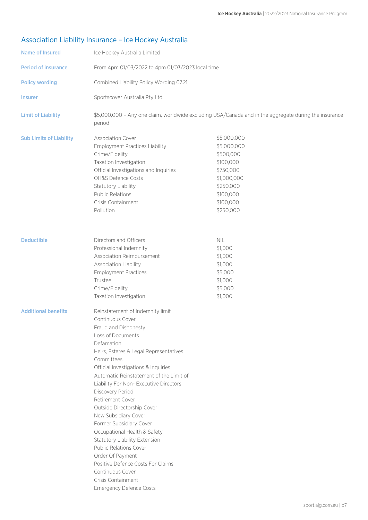# Association Liability Insurance – Ice Hockey Australia

| <b>Name of Insured</b>         | Ice Hockey Australia Limited                                                                                                                                                                                                                                                                                                                                                                                                                                                                                                                                                                                                                                        |                                                                                                                                      |  |
|--------------------------------|---------------------------------------------------------------------------------------------------------------------------------------------------------------------------------------------------------------------------------------------------------------------------------------------------------------------------------------------------------------------------------------------------------------------------------------------------------------------------------------------------------------------------------------------------------------------------------------------------------------------------------------------------------------------|--------------------------------------------------------------------------------------------------------------------------------------|--|
| <b>Period of insurance</b>     | From 4pm 01/03/2022 to 4pm 01/03/2023 local time                                                                                                                                                                                                                                                                                                                                                                                                                                                                                                                                                                                                                    |                                                                                                                                      |  |
| <b>Policy wording</b>          | Combined Liability Policy Wording 07.21                                                                                                                                                                                                                                                                                                                                                                                                                                                                                                                                                                                                                             |                                                                                                                                      |  |
| <b>Insurer</b>                 | Sportscover Australia Pty Ltd                                                                                                                                                                                                                                                                                                                                                                                                                                                                                                                                                                                                                                       |                                                                                                                                      |  |
| <b>Limit of Liability</b>      | \$5,000,000 - Any one claim, worldwide excluding USA/Canada and in the aggregate during the insurance<br>period                                                                                                                                                                                                                                                                                                                                                                                                                                                                                                                                                     |                                                                                                                                      |  |
| <b>Sub Limits of Liability</b> | <b>Association Cover</b><br><b>Employment Practices Liability</b><br>Crime/Fidelity<br>Taxation Investigation<br>Official Investigations and Inquiries<br>OH&S Defence Costs<br>Statutory Liability<br><b>Public Relations</b><br>Crisis Containment<br>Pollution                                                                                                                                                                                                                                                                                                                                                                                                   | \$5,000,000<br>\$5,000,000<br>\$500,000<br>\$100,000<br>\$750,000<br>\$1,000,000<br>\$250,000<br>\$100,000<br>\$100,000<br>\$250,000 |  |
| <b>Deductible</b>              | Directors and Officers<br>Professional Indemnity<br>Association Reimbursement<br>Association Liability<br><b>Employment Practices</b><br>Trustee<br>Crime/Fidelity<br>Taxation Investigation                                                                                                                                                                                                                                                                                                                                                                                                                                                                        | <b>NIL</b><br>\$1,000<br>\$1,000<br>\$1,000<br>\$5,000<br>\$1,000<br>\$5,000<br>\$1,000                                              |  |
| <b>Additional benefits</b>     | Reinstatement of Indemnity limit<br>Continuous Cover<br>Fraud and Dishonesty<br>Loss of Documents<br>Defamation<br>Heirs, Estates & Legal Representatives<br>Committees<br>Official Investigations & Inquiries<br>Automatic Reinstatement of the Limit of<br>Liability For Non- Executive Directors<br>Discovery Period<br>Retirement Cover<br>Outside Directorship Cover<br>New Subsidiary Cover<br>Former Subsidiary Cover<br>Occupational Health & Safety<br>Statutory Liability Extension<br><b>Public Relations Cover</b><br>Order Of Payment<br>Positive Defence Costs For Claims<br>Continuous Cover<br>Crisis Containment<br><b>Emergency Defence Costs</b> |                                                                                                                                      |  |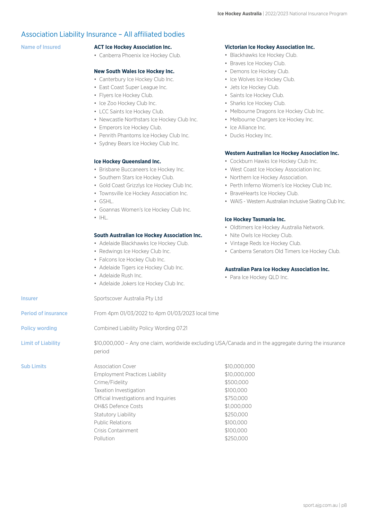#### Association Liability Insurance – All affiliated bodies

#### Name of Insured **ACT Ice Hockey Association Inc.**

• Canberra Phoenix Ice Hockey Club.

#### **New South Wales Ice Hockey Inc.**

- Canterbury Ice Hockey Club Inc.
- East Coast Super League Inc.
- Flyers Ice Hockey Club.
- Ice Zoo Hockey Club Inc.
- LCC Saints Ice Hockey Club.
- Newcastle Northstars Ice Hockey Club Inc.
- Emperors Ice Hockey Club.
- Penrith Phantoms Ice Hockey Club Inc.
- Sydney Bears Ice Hockey Club Inc.

#### **Ice Hockey Queensland Inc.**

- Brisbane Buccaneers Ice Hockey Inc.
- Southern Stars Ice Hockey Club.
- Gold Coast Grizzlys Ice Hockey Club Inc.
- Townsville Ice Hockey Association Inc.
- GSHL.
- Goannas Women's Ice Hockey Club Inc.
- IHL.

#### **South Australian Ice Hockey Association Inc.**

- Adelaide Blackhawks Ice Hockey Club.
- Redwings Ice Hockey Club Inc.
- Falcons Ice Hockey Club Inc.
- Adelaide Tigers ice Hockey Club Inc.
- Adelaide Rush Inc.
- Adelaide Jokers Ice Hockey Club Inc.

#### Insurer Sportscover Australia Pty Ltd

Period of insurance From 4pm 01/03/2022 to 4pm 01/03/2023 local time

Policy wording Combined Liability Policy Wording 07.21

Limit of Liability  $$10,000,000 -$  Any one claim, worldwide excluding USA/Canada and in the aggregate during the insurance period

> Employment Practices Liability Crime/Fidelity Taxation Investigation Official Investigations and Inquiries OH&S Defence Costs Statutory Liability Public Relations Crisis Containment Pollution \$10,000,000 \$10,000,000 \$500,000 \$100,000 \$750,000 \$1,000,000 \$250,000 \$100,000 \$100,000 \$250,000

#### **Victorian Ice Hockey Association Inc.**

- Blackhawks Ice Hockey Club.
- Braves Ice Hockey Club.
- Demons Ice Hockey Club.
- Ice Wolves Ice Hockey Club.
- Jets Ice Hockey Club.
- Saints Ice Hockey Club.
- Sharks Ice Hockey Club.
- Melbourne Dragons Ice Hockey Club Inc.
- Melbourne Chargers Ice Hockey Inc.
- Ice Alliance Inc.
- Ducks Hockey Inc.

#### **Western Australian Ice Hockey Association Inc.**

- Cockburn Hawks Ice Hockey Club Inc.
- West Coast Ice Hockey Association Inc.
- Northern Ice Hockey Association.
- Perth Inferno Women's Ice Hockey Club Inc.
- BraveHearts Ice Hockey Club.
- WAIS Western Australian Inclusive Skating Club Inc.

#### **Ice Hockey Tasmania Inc.**

- Oldtimers Ice Hockey Australia Network.
- Nite Owls Ice Hockey Club.
- Vintage Reds Ice Hockey Club.
- Canberra Senators Old Timers Ice Hockey Club.

#### **Australian Para Ice Hockey Association Inc.**

• Para Ice Hockey QLD Inc.

**Sub Limits Association Cover**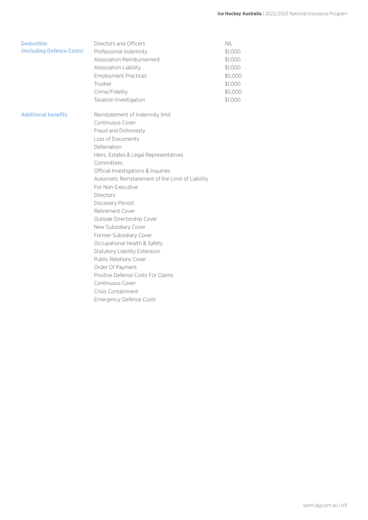| <b>Deductible</b>          | Directors and Officers                            | <b>NIL</b> |
|----------------------------|---------------------------------------------------|------------|
| (Including Defence Costs)  | Professional Indemnity                            | \$1,000    |
|                            | Association Reimbursement                         | \$1,000    |
|                            | Association Liability                             | \$1,000    |
|                            | <b>Employment Practices</b>                       | \$5,000    |
|                            | Trustee                                           | \$1,000    |
|                            | Crime/Fidelity                                    | \$5,000    |
|                            | Taxation Investigation                            | \$1,000    |
| <b>Additional benefits</b> | Reinstatement of Indemnity limit                  |            |
|                            | Continuous Cover                                  |            |
|                            | Fraud and Dishonesty                              |            |
|                            | Loss of Documents                                 |            |
|                            | Defamation                                        |            |
|                            | Heirs, Estates & Legal Representatives            |            |
|                            | Committees                                        |            |
|                            | Official Investigations & Inquiries               |            |
|                            | Automatic Reinstatement of the Limit of Liability |            |
|                            | For Non-Executive                                 |            |
|                            | <b>Directors</b>                                  |            |
|                            | Discovery Period                                  |            |
|                            | Retirement Cover                                  |            |
|                            | Outside Directorship Cover                        |            |
|                            | New Subsidiary Cover                              |            |
|                            | Former Subsidiary Cover                           |            |
|                            | Occupational Health & Safety                      |            |
|                            | <b>Statutory Liability Extension</b>              |            |
|                            | <b>Public Relations Cover</b>                     |            |
|                            | Order Of Payment                                  |            |
|                            | Positive Defence Costs For Claims                 |            |
|                            | Continuous Cover                                  |            |
|                            | Crisis Containment                                |            |
|                            | <b>Emergency Defence Costs</b>                    |            |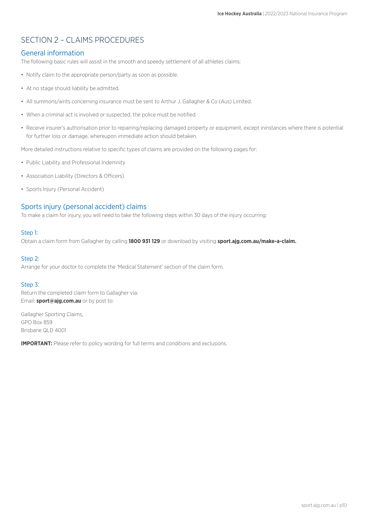# SECTION 2 – CLAIMS PROCEDURES

#### General information

The following basic rules will assist in the smooth and speedy settlement of all athletes claims:

- Notify claim to the appropriate person/party as soon as possible.
- At no stage should liability be admitted.
- All summons/writs concerning insurance must be sent to Arthur J. Gallagher & Co (Aus) Limited.
- When a criminal act is involved or suspected, the police must be notified.
- Receive insurer's authorisation prior to repairing/replacing damaged property or equipment, except ininstances where there is potential for further loss or damage, whereupon immediate action should betaken.

More detailed instructions relative to specific types of claims are provided on the following pages for:

- Public Liability and Professional Indemnity
- Association Liability (Directors & Officers)
- Sports Injury (Personal Accident)

#### Sports injury (personal accident) claims

To make a claim for injury, you will need to take the following steps within 30 days of the injury occurring:

#### Step 1:

Obtain a claim form from Gallagher by calling **1800 931 129** or download by visiting **sport.ajg.com.au/make-a-claim.**

#### Step 2:

Arrange for your doctor to complete the 'Medical Statement' section of the claim form.

#### Step 3:

Return the completed claim form to Gallagher via: Email: **sport@ajg.com.au** or by post to:

Gallagher Sporting Claims, GPO Box 859 Brisbane QLD 4001

**IMPORTANT:** Please refer to policy wording for full terms and conditions and exclusions.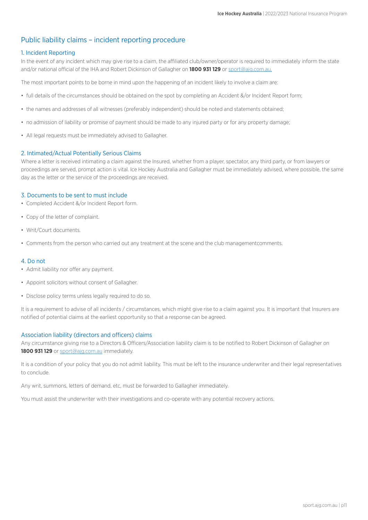#### Public liability claims – incident reporting procedure

#### 1. Incident Reporting

In the event of any incident which may give rise to a claim, the affiliated club/owner/operator is required to immediately inform the state and/or national official of the IHA and Robert Dickinson of Gallagher on **1800 931 129** or sport[@ajg.com.au.](mailto:sport%40ajg.com.au?subject=)

The most important points to be borne in mind upon the happening of an incident likely to involve a claim are:

- full details of the circumstances should be obtained on the spot by completing an Accident &/or Incident Report form;
- the names and addresses of all witnesses (preferably independent) should be noted and statements obtained;
- no admission of liability or promise of payment should be made to any injured party or for any property damage;
- All legal requests must be immediately advised to Gallagher.

#### 2. Intimated/Actual Potentially Serious Claims

Where a letter is received intimating a claim against the Insured, whether from a player, spectator, any third party, or from lawyers or proceedings are served, prompt action is vital. Ice Hockey Australia and Gallagher must be immediately advised, where possible, the same day as the letter or the service of the proceedings are received.

#### 3. Documents to be sent to must include

- Completed Accident &/or Incident Report form.
- Copy of the letter of complaint.
- Writ/Court documents.
- Comments from the person who carried out any treatment at the scene and the club managementcomments.

#### 4. Do not

- Admit liability nor offer any payment.
- Appoint solicitors without consent of Gallagher.
- Disclose policy terms unless legally required to do so.

It is a requirement to advise of all incidents / circumstances, which might give rise to a claim against you. It is important that Insurers are notified of potential claims at the earliest opportunity so that a response can be agreed.

#### Association liability (directors and officers) claims

Any circumstance giving rise to a Directors & Officers/Association liability claim is to be notified to Robert Dickinson of Gallagher on **1800 931 129** or spor[t@ajg.com.au](mailto:sport%40ajg.com.au?subject=) immediately.

It is a condition of your policy that you do not admit liability. This must be left to the insurance underwriter and their legal representatives to conclude.

Any writ, summons, letters of demand, etc, must be forwarded to Gallagher immediately.

You must assist the underwriter with their investigations and co-operate with any potential recovery actions.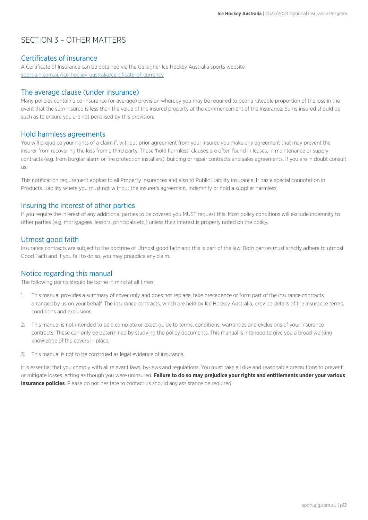# SECTION 3 – OTHER MATTERS

#### Certificates of insurance

A Certificate of Insurance can be obtained via the Gallagher Ice Hockey Australia sports website [sport.ajg.com.au/ice-hockey-australia/certificate-of-currency](A Certificate of Insurance can be obtained via the Gallagher Ice Hockey Australia sports website https://sport.ajg.com.au/ice-hockey-australia/certificate-of-currency/ 
)

#### The average clause (under insurance)

Many policies contain a co-insurance (or average) provision whereby you may be required to bear a rateable proportion of the loss in the event that the sum insured is less than the value of the insured property at the commencement of the insurance. Sums insured should be such as to ensure you are not penalised by this provision.

#### Hold harmless agreements

You will prejudice your rights of a claim if, without prior agreement from your insurer, you make any agreement that may prevent the insurer from recovering the loss from a third party. These 'hold harmless' clauses are often found in leases, in maintenance or supply contracts (e.g. from burglar alarm or fire protection installers), building or repair contracts and sales agreements. If you are in doubt consult us.

This notification requirement applies to all Property insurances and also to Public Liability insurance. It has a special connotation in Products Liability where you must not without the insurer's agreement, indemnify or hold a supplier harmless.

#### Insuring the interest of other parties

If you require the interest of any additional parties to be covered you MUST request this. Most policy conditions will exclude indemnity to other parties (e.g. mortgagees, lessors, principals etc.) unless their interest is properly noted on the policy.

#### Utmost good faith

Insurance contracts are subject to the doctrine of Utmost good faith and this is part of the law. Both parties must strictly adhere to utmost Good Faith and if you fail to do so, you may prejudice any claim.

#### Notice regarding this manual

The following points should be borne in mind at all times:

- 1. This manual provides a summary of cover only and does not replace, take precedence or form part of the insurance contracts arranged by us on your behalf. The insurance contracts, which are held by Ice Hockey Australia, provide details of the insurance terms, conditions and exclusions.
- 2. This manual is not intended to be a complete or exact guide to terms, conditions, warranties and exclusions of your insurance contracts. These can only be determined by studying the policy documents. This manual is intended to give you a broad working knowledge of the covers in place.
- 3. This manual is not to be construed as legal evidence of insurance.

It is essential that you comply with all relevant laws, by-laws and regulations. You must take all due and reasonable precautions to prevent or mitigate losses, acting as though you were uninsured. **Failure to do so may prejudice your rights and entitlements under your various insurance policies**. Please do not hesitate to contact us should any assistance be required.